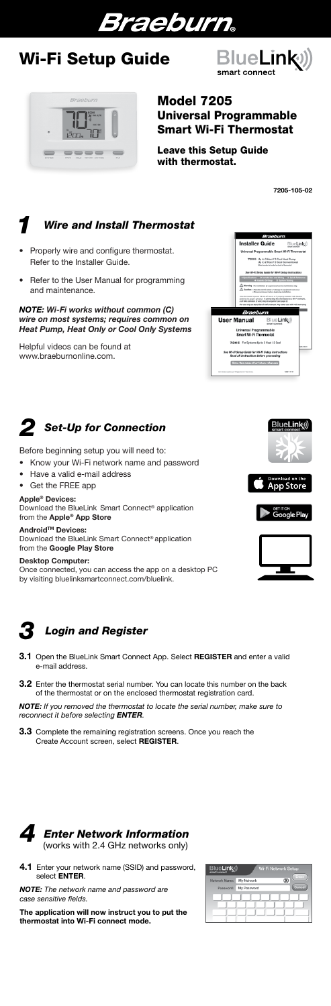

# Wi-Fi Setup Guide

# Model 7205 Universal Programmable Smart Wi-Fi Thermostat

Leave this Setup Guide with thermostat.

7205-105-02

- Know your Wi-Fi network name and password
- Have a valid e-mail address
- Get the FREE app
- Properly wire and configure thermostat. Refer to the Installer Guide.
- Refer to the User Manual for programming and maintenance.

Android<sup>™</sup> Devices: Download the BlueLink Smart Connect® application from the Google Play Store

Before beginning setup you will need to:

#### Apple® Devices:

Download the BlueLink Smart Connect® application from the Apple® App Store

- 3.1 Open the BlueLink Smart Connect App. Select REGISTER and enter a valid e-mail address.
- **3.2** Enter the thermostat serial number. You can locate this number on the back of the thermostat or on the enclosed thermostat registration card.

**3.3** Complete the remaining registration screens. Once you reach the Create Account screen, select REGISTER.



pp Store





## Desktop Computer:

4.1 Enter your network name (SSID) and password, select ENTER.



Once connected, you can access the app on a desktop PC by visiting bluelinksmartconnect.com/bluelink.



*NOTE: If you removed the thermostat to locate the serial number, make sure to reconnect it before selecting ENTER.*

*NOTE: The network name and password are case sensitive fields.*

The application will now instruct you to put the thermostat into Wi-Fi connect mode.



# *2 Set-Up for Connection*

*NOTE: Wi-Fi works without common (C) wire on most systems; requires common on Heat Pump, Heat Only or Cool Only Systems*

# *4 Enter Network Information* (works with 2.4 GHz networks only)

Helpful videos can be found at www.braeburnonline.com.





# Braeburn ----